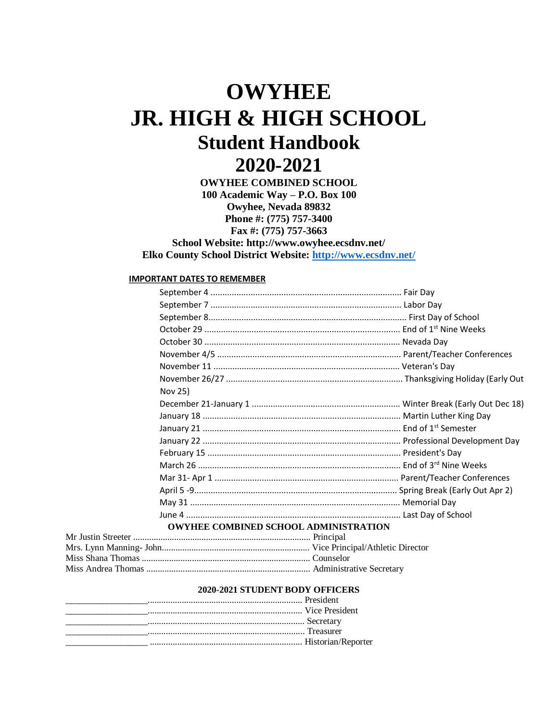# **OWYHEE JR. HIGH & HIGH SCHOOL Student Handbook 2020-2021**

**OWYHEE COMBINED SCHOOL 100 Academic Way – P.O. Box 100 Owyhee, Nevada 89832 Phone #: (775) 757-3400 Fax #: (775) 757-3663 School Website: http://www.owyhee.ecsdnv.net/**

**Elko County School District Website:<http://www.ecsdnv.net/>**

### **IMPORTANT DATES TO REMEMBER**

| Nov 25)                                      |  |
|----------------------------------------------|--|
|                                              |  |
|                                              |  |
|                                              |  |
|                                              |  |
|                                              |  |
|                                              |  |
|                                              |  |
|                                              |  |
|                                              |  |
|                                              |  |
| <b>OWYHEE COMBINED SCHOOL ADMINISTRATION</b> |  |
|                                              |  |
|                                              |  |

#### **2020-2021 STUDENT BODY OFFICERS**

| <b>EXECUTE President</b> Contains and Contains and Contains and Contains and Contains and Contains and Contains and Contains and Contains and Contains and Contains and Contains and Contains and Contains and Contains and Contain |  |
|-------------------------------------------------------------------------------------------------------------------------------------------------------------------------------------------------------------------------------------|--|
|                                                                                                                                                                                                                                     |  |
|                                                                                                                                                                                                                                     |  |
|                                                                                                                                                                                                                                     |  |
|                                                                                                                                                                                                                                     |  |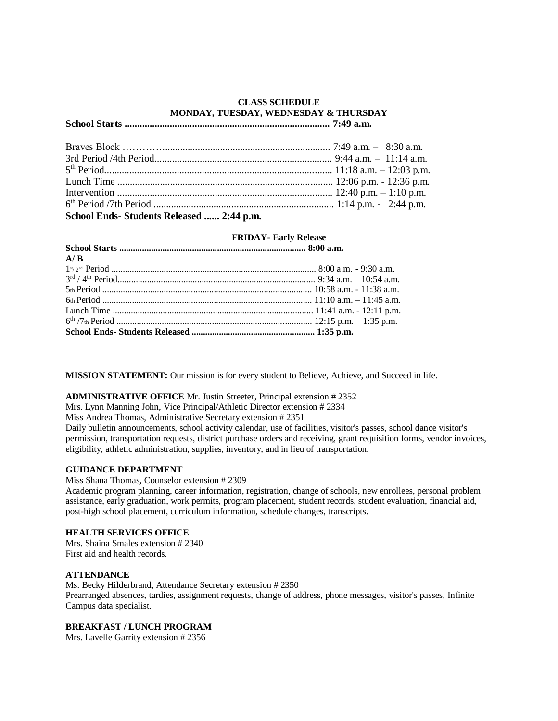# **CLASS SCHEDULE MONDAY, TUESDAY, WEDNESDAY & THURSDAY**

# **School Starts .................................................................................. 7:49 a.m.**

| School Ends-Students Released  2:44 p.m. |  |
|------------------------------------------|--|

# **FRIDAY- Early Release**

| A/B |  |
|-----|--|
|     |  |
|     |  |
|     |  |
|     |  |
|     |  |
|     |  |
|     |  |

**MISSION STATEMENT:** Our mission is for every student to Believe, Achieve, and Succeed in life.

#### **ADMINISTRATIVE OFFICE** Mr. Justin Streeter, Principal extension # 2352

Mrs. Lynn Manning John, Vice Principal/Athletic Director extension # 2334

Miss Andrea Thomas, Administrative Secretary extension # 2351

Daily bulletin announcements, school activity calendar, use of facilities, visitor's passes, school dance visitor's permission, transportation requests, district purchase orders and receiving, grant requisition forms, vendor invoices, eligibility, athletic administration, supplies, inventory, and in lieu of transportation.

#### **GUIDANCE DEPARTMENT**

Miss Shana Thomas, Counselor extension # 2309

Academic program planning, career information, registration, change of schools, new enrollees, personal problem assistance, early graduation, work permits, program placement, student records, student evaluation, financial aid, post-high school placement, curriculum information, schedule changes, transcripts.

#### **HEALTH SERVICES OFFICE**

Mrs. Shaina Smales extension # 2340 First aid and health records.

#### **ATTENDANCE**

Ms. Becky Hilderbrand, Attendance Secretary extension # 2350 Prearranged absences, tardies, assignment requests, change of address, phone messages, visitor's passes, Infinite Campus data specialist.

#### **BREAKFAST / LUNCH PROGRAM**

Mrs. Lavelle Garrity extension # 2356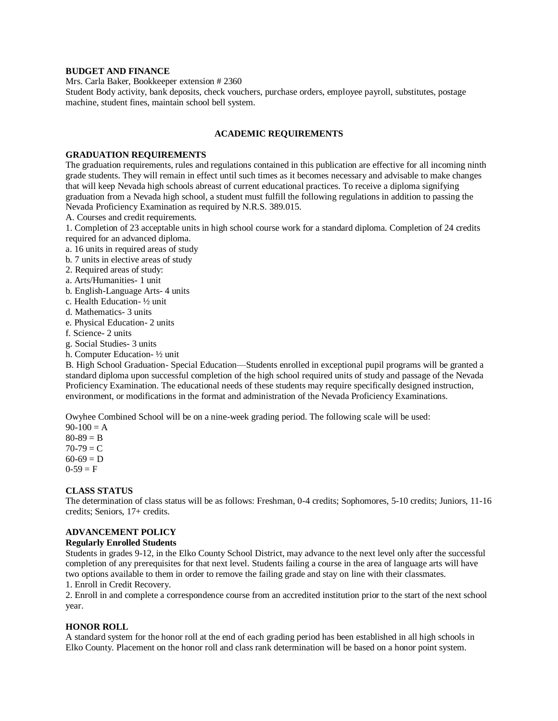#### **BUDGET AND FINANCE**

Mrs. Carla Baker, Bookkeeper extension # 2360

Student Body activity, bank deposits, check vouchers, purchase orders, employee payroll, substitutes, postage machine, student fines, maintain school bell system.

#### **ACADEMIC REQUIREMENTS**

#### **GRADUATION REQUIREMENTS**

The graduation requirements, rules and regulations contained in this publication are effective for all incoming ninth grade students. They will remain in effect until such times as it becomes necessary and advisable to make changes that will keep Nevada high schools abreast of current educational practices. To receive a diploma signifying graduation from a Nevada high school, a student must fulfill the following regulations in addition to passing the Nevada Proficiency Examination as required by N.R.S. 389.015.

A. Courses and credit requirements.

1. Completion of 23 acceptable units in high school course work for a standard diploma. Completion of 24 credits required for an advanced diploma.

- a. 16 units in required areas of study
- b. 7 units in elective areas of study
- 2. Required areas of study:
- a. Arts/Humanities- 1 unit
- b. English-Language Arts- 4 units
- c. Health Education- ½ unit
- d. Mathematics- 3 units
- e. Physical Education- 2 units
- f. Science- 2 units
- g. Social Studies- 3 units
- h. Computer Education- ½ unit

B. High School Graduation- Special Education—Students enrolled in exceptional pupil programs will be granted a standard diploma upon successful completion of the high school required units of study and passage of the Nevada Proficiency Examination. The educational needs of these students may require specifically designed instruction, environment, or modifications in the format and administration of the Nevada Proficiency Examinations.

Owyhee Combined School will be on a nine-week grading period. The following scale will be used:

 $90-100 = A$  $80-89 = B$  $70-79 = C$  $60-69 = D$  $0-59 = F$ 

#### **CLASS STATUS**

The determination of class status will be as follows: Freshman, 0-4 credits; Sophomores, 5-10 credits; Juniors, 11-16 credits; Seniors, 17+ credits.

#### **ADVANCEMENT POLICY**

#### **Regularly Enrolled Students**

Students in grades 9-12, in the Elko County School District, may advance to the next level only after the successful completion of any prerequisites for that next level. Students failing a course in the area of language arts will have two options available to them in order to remove the failing grade and stay on line with their classmates.

1. Enroll in Credit Recovery.

2. Enroll in and complete a correspondence course from an accredited institution prior to the start of the next school year.

#### **HONOR ROLL**

A standard system for the honor roll at the end of each grading period has been established in all high schools in Elko County. Placement on the honor roll and class rank determination will be based on a honor point system.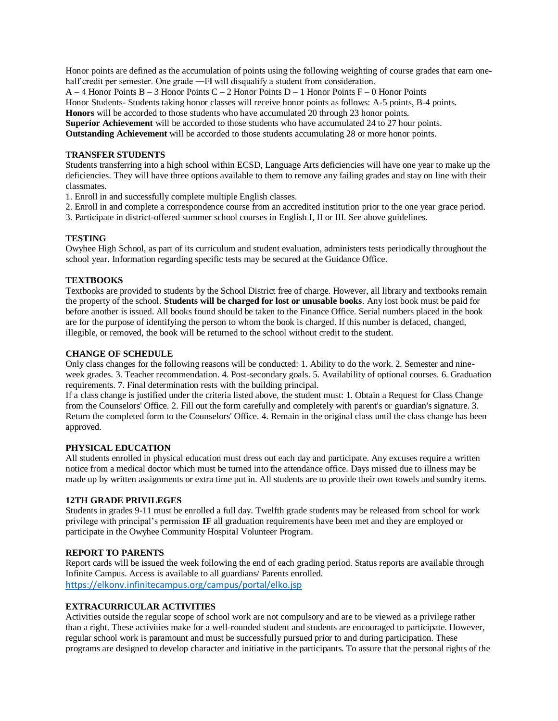Honor points are defined as the accumulation of points using the following weighting of course grades that earn onehalf credit per semester. One grade —F| will disqualify a student from consideration.

A – 4 Honor Points B – 3 Honor Points C – 2 Honor Points D – 1 Honor Points F – 0 Honor Points

Honor Students- Students taking honor classes will receive honor points as follows: A-5 points, B-4 points.

**Honors** will be accorded to those students who have accumulated 20 through 23 honor points.

**Superior Achievement** will be accorded to those students who have accumulated 24 to 27 hour points.

**Outstanding Achievement** will be accorded to those students accumulating 28 or more honor points.

## **TRANSFER STUDENTS**

Students transferring into a high school within ECSD, Language Arts deficiencies will have one year to make up the deficiencies. They will have three options available to them to remove any failing grades and stay on line with their classmates.

1. Enroll in and successfully complete multiple English classes.

2. Enroll in and complete a correspondence course from an accredited institution prior to the one year grace period.

3. Participate in district-offered summer school courses in English I, II or III. See above guidelines.

# **TESTING**

Owyhee High School, as part of its curriculum and student evaluation, administers tests periodically throughout the school year. Information regarding specific tests may be secured at the Guidance Office.

# **TEXTBOOKS**

Textbooks are provided to students by the School District free of charge. However, all library and textbooks remain the property of the school. **Students will be charged for lost or unusable books**. Any lost book must be paid for before another is issued. All books found should be taken to the Finance Office. Serial numbers placed in the book are for the purpose of identifying the person to whom the book is charged. If this number is defaced, changed, illegible, or removed, the book will be returned to the school without credit to the student.

#### **CHANGE OF SCHEDULE**

Only class changes for the following reasons will be conducted: 1. Ability to do the work. 2. Semester and nineweek grades. 3. Teacher recommendation. 4. Post-secondary goals. 5. Availability of optional courses. 6. Graduation requirements. 7. Final determination rests with the building principal.

If a class change is justified under the criteria listed above, the student must: 1. Obtain a Request for Class Change from the Counselors' Office. 2. Fill out the form carefully and completely with parent's or guardian's signature. 3. Return the completed form to the Counselors' Office. 4. Remain in the original class until the class change has been approved.

# **PHYSICAL EDUCATION**

All students enrolled in physical education must dress out each day and participate. Any excuses require a written notice from a medical doctor which must be turned into the attendance office. Days missed due to illness may be made up by written assignments or extra time put in. All students are to provide their own towels and sundry items.

# **12TH GRADE PRIVILEGES**

Students in grades 9-11 must be enrolled a full day. Twelfth grade students may be released from school for work privilege with principal's permission **IF** all graduation requirements have been met and they are employed or participate in the Owyhee Community Hospital Volunteer Program.

# **REPORT TO PARENTS**

Report cards will be issued the week following the end of each grading period. Status reports are available through Infinite Campus. Access is available to all guardians/ Parents enrolled. <https://elkonv.infinitecampus.org/campus/portal/elko.jsp>

# **EXTRACURRICULAR ACTIVITIES**

Activities outside the regular scope of school work are not compulsory and are to be viewed as a privilege rather than a right. These activities make for a well-rounded student and students are encouraged to participate. However, regular school work is paramount and must be successfully pursued prior to and during participation. These programs are designed to develop character and initiative in the participants. To assure that the personal rights of the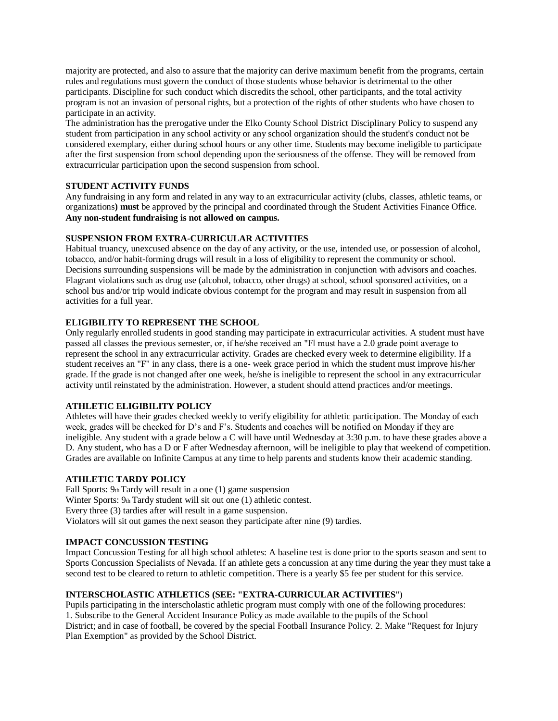majority are protected, and also to assure that the majority can derive maximum benefit from the programs, certain rules and regulations must govern the conduct of those students whose behavior is detrimental to the other participants. Discipline for such conduct which discredits the school, other participants, and the total activity program is not an invasion of personal rights, but a protection of the rights of other students who have chosen to participate in an activity.

The administration has the prerogative under the Elko County School District Disciplinary Policy to suspend any student from participation in any school activity or any school organization should the student's conduct not be considered exemplary, either during school hours or any other time. Students may become ineligible to participate after the first suspension from school depending upon the seriousness of the offense. They will be removed from extracurricular participation upon the second suspension from school.

# **STUDENT ACTIVITY FUNDS**

Any fundraising in any form and related in any way to an extracurricular activity (clubs, classes, athletic teams, or organizations**) must** be approved by the principal and coordinated through the Student Activities Finance Office. **Any non-student fundraising is not allowed on campus.**

#### **SUSPENSION FROM EXTRA-CURRICULAR ACTIVITIES**

Habitual truancy, unexcused absence on the day of any activity, or the use, intended use, or possession of alcohol, tobacco, and/or habit-forming drugs will result in a loss of eligibility to represent the community or school. Decisions surrounding suspensions will be made by the administration in conjunction with advisors and coaches. Flagrant violations such as drug use (alcohol, tobacco, other drugs) at school, school sponsored activities, on a school bus and/or trip would indicate obvious contempt for the program and may result in suspension from all activities for a full year.

# **ELIGIBILITY TO REPRESENT THE SCHOOL**

Only regularly enrolled students in good standing may participate in extracurricular activities. A student must have passed all classes the previous semester, or, if he/she received an "F‖ must have a 2.0 grade point average to represent the school in any extracurricular activity. Grades are checked every week to determine eligibility. If a student receives an "F" in any class, there is a one- week grace period in which the student must improve his/her grade. If the grade is not changed after one week, he/she is ineligible to represent the school in any extracurricular activity until reinstated by the administration. However, a student should attend practices and/or meetings.

#### **ATHLETIC ELIGIBILITY POLICY**

Athletes will have their grades checked weekly to verify eligibility for athletic participation. The Monday of each week, grades will be checked for D's and F's. Students and coaches will be notified on Monday if they are ineligible. Any student with a grade below a C will have until Wednesday at 3:30 p.m. to have these grades above a D. Any student, who has a D or F after Wednesday afternoon, will be ineligible to play that weekend of competition. Grades are available on Infinite Campus at any time to help parents and students know their academic standing.

#### **ATHLETIC TARDY POLICY**

Fall Sports: 9th Tardy will result in a one (1) game suspension Winter Sports: 9th Tardy student will sit out one (1) athletic contest. Every three (3) tardies after will result in a game suspension. Violators will sit out games the next season they participate after nine (9) tardies.

#### **IMPACT CONCUSSION TESTING**

Impact Concussion Testing for all high school athletes: A baseline test is done prior to the sports season and sent to Sports Concussion Specialists of Nevada. If an athlete gets a concussion at any time during the year they must take a second test to be cleared to return to athletic competition. There is a yearly \$5 fee per student for this service.

#### **INTERSCHOLASTIC ATHLETICS (SEE: "EXTRA-CURRICULAR ACTIVITIES**")

Pupils participating in the interscholastic athletic program must comply with one of the following procedures: 1. Subscribe to the General Accident Insurance Policy as made available to the pupils of the School District; and in case of football, be covered by the special Football Insurance Policy. 2. Make "Request for Injury Plan Exemption" as provided by the School District.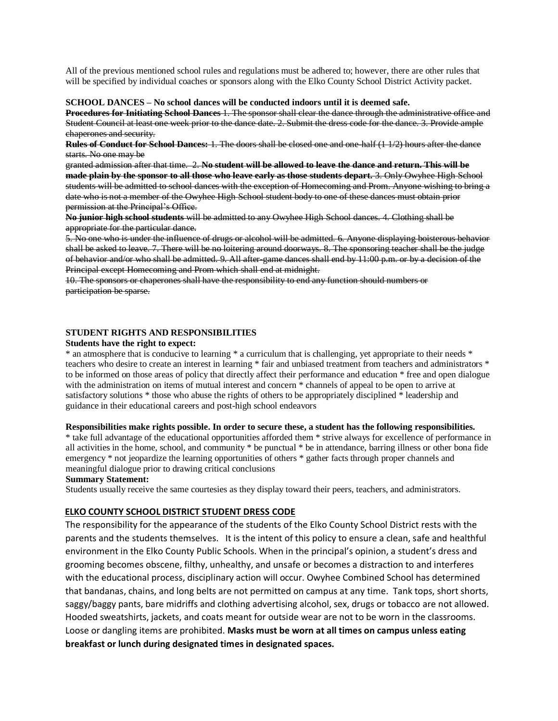All of the previous mentioned school rules and regulations must be adhered to; however, there are other rules that will be specified by individual coaches or sponsors along with the Elko County School District Activity packet.

#### **SCHOOL DANCES – No school dances will be conducted indoors until it is deemed safe.**

**Procedures for Initiating School Dances** 1. The sponsor shall clear the dance through the administrative office and Student Council at least one week prior to the dance date. 2. Submit the dress code for the dance. 3. Provide ample chaperones and security.

**Rules of Conduct for School Dances:** 1. The doors shall be closed one and one-half (1 1/2) hours after the dance starts. No one may be

granted admission after that time. 2. **No student will be allowed to leave the dance and return. This will be made plain by the sponsor to all those who leave early as those students depart.** 3. Only Owyhee High School students will be admitted to school dances with the exception of Homecoming and Prom. Anyone wishing to bring a date who is not a member of the Owyhee High School student body to one of these dances must obtain prior permission at the Principal's Office.

**No junior high school students** will be admitted to any Owyhee High School dances. 4. Clothing shall be appropriate for the particular dance.

5. No one who is under the influence of drugs or alcohol will be admitted. 6. Anyone displaying boisterous behavior shall be asked to leave. 7. There will be no loitering around doorways. 8. The sponsoring teacher shall be the judge of behavior and/or who shall be admitted. 9. All after-game dances shall end by 11:00 p.m. or by a decision of the Principal except Homecoming and Prom which shall end at midnight.

10. The sponsors or chaperones shall have the responsibility to end any function should numbers or participation be sparse.

# **STUDENT RIGHTS AND RESPONSIBILITIES**

#### **Students have the right to expect:**

\* an atmosphere that is conducive to learning \* a curriculum that is challenging, yet appropriate to their needs \* teachers who desire to create an interest in learning \* fair and unbiased treatment from teachers and administrators \* to be informed on those areas of policy that directly affect their performance and education \* free and open dialogue with the administration on items of mutual interest and concern  $*$  channels of appeal to be open to arrive at satisfactory solutions \* those who abuse the rights of others to be appropriately disciplined \* leadership and guidance in their educational careers and post-high school endeavors

#### **Responsibilities make rights possible. In order to secure these, a student has the following responsibilities.**

\* take full advantage of the educational opportunities afforded them \* strive always for excellence of performance in all activities in the home, school, and community \* be punctual \* be in attendance, barring illness or other bona fide emergency \* not jeopardize the learning opportunities of others \* gather facts through proper channels and meaningful dialogue prior to drawing critical conclusions

#### **Summary Statement:**

Students usually receive the same courtesies as they display toward their peers, teachers, and administrators.

#### **ELKO COUNTY SCHOOL DISTRICT STUDENT DRESS CODE**

The responsibility for the appearance of the students of the Elko County School District rests with the parents and the students themselves. It is the intent of this policy to ensure a clean, safe and healthful environment in the Elko County Public Schools. When in the principal's opinion, a student's dress and grooming becomes obscene, filthy, unhealthy, and unsafe or becomes a distraction to and interferes with the educational process, disciplinary action will occur. Owyhee Combined School has determined that bandanas, chains, and long belts are not permitted on campus at any time. Tank tops, short shorts, saggy/baggy pants, bare midriffs and clothing advertising alcohol, sex, drugs or tobacco are not allowed. Hooded sweatshirts, jackets, and coats meant for outside wear are not to be worn in the classrooms. Loose or dangling items are prohibited. **Masks must be worn at all times on campus unless eating breakfast or lunch during designated times in designated spaces.**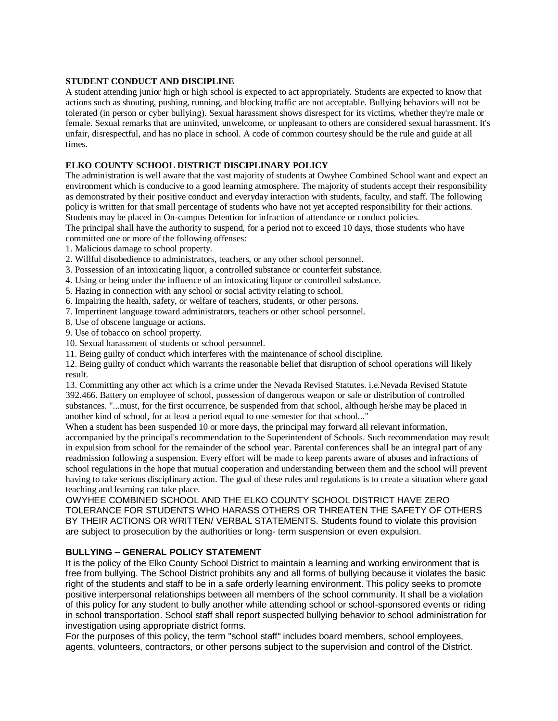### **STUDENT CONDUCT AND DISCIPLINE**

A student attending junior high or high school is expected to act appropriately. Students are expected to know that actions such as shouting, pushing, running, and blocking traffic are not acceptable. Bullying behaviors will not be tolerated (in person or cyber bullying). Sexual harassment shows disrespect for its victims, whether they're male or female. Sexual remarks that are uninvited, unwelcome, or unpleasant to others are considered sexual harassment. It's unfair, disrespectful, and has no place in school. A code of common courtesy should be the rule and guide at all times.

# **ELKO COUNTY SCHOOL DISTRICT DISCIPLINARY POLICY**

The administration is well aware that the vast majority of students at Owyhee Combined School want and expect an environment which is conducive to a good learning atmosphere. The majority of students accept their responsibility as demonstrated by their positive conduct and everyday interaction with students, faculty, and staff. The following policy is written for that small percentage of students who have not yet accepted responsibility for their actions. Students may be placed in On-campus Detention for infraction of attendance or conduct policies.

The principal shall have the authority to suspend, for a period not to exceed 10 days, those students who have committed one or more of the following offenses:

- 1. Malicious damage to school property.
- 2. Willful disobedience to administrators, teachers, or any other school personnel.
- 3. Possession of an intoxicating liquor, a controlled substance or counterfeit substance.
- 4. Using or being under the influence of an intoxicating liquor or controlled substance.
- 5. Hazing in connection with any school or social activity relating to school.
- 6. Impairing the health, safety, or welfare of teachers, students, or other persons.
- 7. Impertinent language toward administrators, teachers or other school personnel.
- 8. Use of obscene language or actions.
- 9. Use of tobacco on school property.
- 10. Sexual harassment of students or school personnel.
- 11. Being guilty of conduct which interferes with the maintenance of school discipline.

12. Being guilty of conduct which warrants the reasonable belief that disruption of school operations will likely result.

13. Committing any other act which is a crime under the Nevada Revised Statutes. i.e.Nevada Revised Statute 392.466. Battery on employee of school, possession of dangerous weapon or sale or distribution of controlled substances. "...must, for the first occurrence, be suspended from that school, although he/she may be placed in another kind of school, for at least a period equal to one semester for that school..."

When a student has been suspended 10 or more days, the principal may forward all relevant information, accompanied by the principal's recommendation to the Superintendent of Schools. Such recommendation may result in expulsion from school for the remainder of the school year. Parental conferences shall be an integral part of any readmission following a suspension. Every effort will be made to keep parents aware of abuses and infractions of school regulations in the hope that mutual cooperation and understanding between them and the school will prevent having to take serious disciplinary action. The goal of these rules and regulations is to create a situation where good teaching and learning can take place.

OWYHEE COMBINED SCHOOL AND THE ELKO COUNTY SCHOOL DISTRICT HAVE ZERO TOLERANCE FOR STUDENTS WHO HARASS OTHERS OR THREATEN THE SAFETY OF OTHERS BY THEIR ACTIONS OR WRITTEN/ VERBAL STATEMENTS. Students found to violate this provision are subject to prosecution by the authorities or long- term suspension or even expulsion.

# **BULLYING – GENERAL POLICY STATEMENT**

It is the policy of the Elko County School District to maintain a learning and working environment that is free from bullying. The School District prohibits any and all forms of bullying because it violates the basic right of the students and staff to be in a safe orderly learning environment. This policy seeks to promote positive interpersonal relationships between all members of the school community. It shall be a violation of this policy for any student to bully another while attending school or school-sponsored events or riding in school transportation. School staff shall report suspected bullying behavior to school administration for investigation using appropriate district forms.

For the purposes of this policy, the term "school staff" includes board members, school employees, agents, volunteers, contractors, or other persons subject to the supervision and control of the District.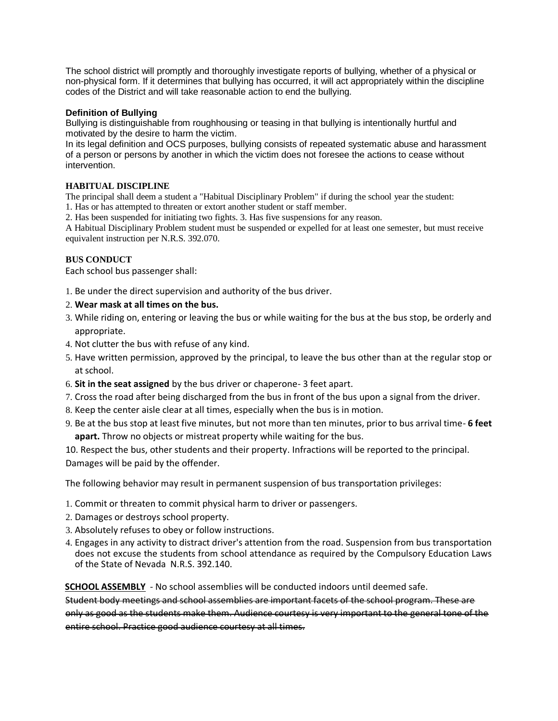The school district will promptly and thoroughly investigate reports of bullying, whether of a physical or non-physical form. If it determines that bullying has occurred, it will act appropriately within the discipline codes of the District and will take reasonable action to end the bullying.

# **Definition of Bullying**

Bullying is distinguishable from roughhousing or teasing in that bullying is intentionally hurtful and motivated by the desire to harm the victim.

In its legal definition and OCS purposes, bullying consists of repeated systematic abuse and harassment of a person or persons by another in which the victim does not foresee the actions to cease without intervention.

# **HABITUAL DISCIPLINE**

The principal shall deem a student a "Habitual Disciplinary Problem" if during the school year the student: 1. Has or has attempted to threaten or extort another student or staff member.

2. Has been suspended for initiating two fights. 3. Has five suspensions for any reason.

A Habitual Disciplinary Problem student must be suspended or expelled for at least one semester, but must receive equivalent instruction per N.R.S. 392.070.

# **BUS CONDUCT**

Each school bus passenger shall:

- 1. Be under the direct supervision and authority of the bus driver.
- 2. **Wear mask at all times on the bus.**
- 3. While riding on, entering or leaving the bus or while waiting for the bus at the bus stop, be orderly and appropriate.
- 4. Not clutter the bus with refuse of any kind.
- 5. Have written permission, approved by the principal, to leave the bus other than at the regular stop or at school.
- 6. **Sit in the seat assigned** by the bus driver or chaperone- 3 feet apart.
- 7. Cross the road after being discharged from the bus in front of the bus upon a signal from the driver.
- 8. Keep the center aisle clear at all times, especially when the bus is in motion.
- 9. Be at the bus stop at least five minutes, but not more than ten minutes, prior to bus arrival time- **6 feet apart.** Throw no objects or mistreat property while waiting for the bus.

10. Respect the bus, other students and their property. Infractions will be reported to the principal. Damages will be paid by the offender.

The following behavior may result in permanent suspension of bus transportation privileges:

- 1. Commit or threaten to commit physical harm to driver or passengers.
- 2. Damages or destroys school property.
- 3. Absolutely refuses to obey or follow instructions.
- 4. Engages in any activity to distract driver's attention from the road. Suspension from bus transportation does not excuse the students from school attendance as required by the Compulsory Education Laws of the State of Nevada N.R.S. 392.140.

**SCHOOL ASSEMBLY** - No school assemblies will be conducted indoors until deemed safe.

Student body meetings and school assemblies are important facets of the school program. These are only as good as the students make them. Audience courtesy is very important to the general tone of the entire school. Practice good audience courtesy at all times.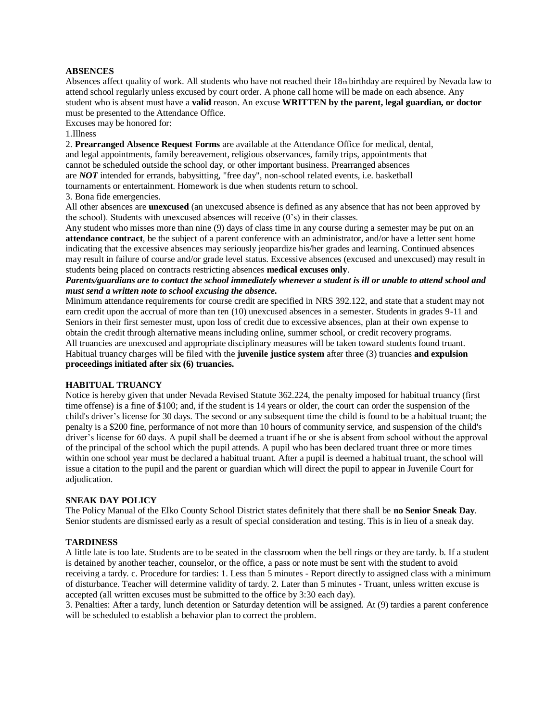#### **ABSENCES**

Absences affect quality of work. All students who have not reached their 18th birthday are required by Nevada law to attend school regularly unless excused by court order. A phone call home will be made on each absence. Any student who is absent must have a **valid** reason. An excuse **WRITTEN by the parent, legal guardian, or doctor**  must be presented to the Attendance Office.

Excuses may be honored for:

#### 1.Illness

2. **Prearranged Absence Request Forms** are available at the Attendance Office for medical, dental, and legal appointments, family bereavement, religious observances, family trips, appointments that cannot be scheduled outside the school day, or other important business. Prearranged absences are *NOT* intended for errands, babysitting, "free day", non-school related events, i.e. basketball tournaments or entertainment. Homework is due when students return to school. 3. Bona fide emergencies.

All other absences are **unexcused** (an unexcused absence is defined as any absence that has not been approved by the school). Students with unexcused absences will receive (0's) in their classes.

Any student who misses more than nine (9) days of class time in any course during a semester may be put on an **attendance contract**, be the subject of a parent conference with an administrator, and/or have a letter sent home indicating that the excessive absences may seriously jeopardize his/her grades and learning. Continued absences may result in failure of course and/or grade level status. Excessive absences (excused and unexcused) may result in students being placed on contracts restricting absences **medical excuses only**.

# *Parents/guardians are to contact the school immediately whenever a student is ill or unable to attend school and must send a written note to school excusing the absence.*

Minimum attendance requirements for course credit are specified in NRS 392.122, and state that a student may not earn credit upon the accrual of more than ten (10) unexcused absences in a semester. Students in grades 9-11 and Seniors in their first semester must, upon loss of credit due to excessive absences, plan at their own expense to obtain the credit through alternative means including online, summer school, or credit recovery programs. All truancies are unexcused and appropriate disciplinary measures will be taken toward students found truant. Habitual truancy charges will be filed with the **juvenile justice system** after three (3) truancies **and expulsion proceedings initiated after six (6) truancies.** 

#### **HABITUAL TRUANCY**

Notice is hereby given that under Nevada Revised Statute 362.224, the penalty imposed for habitual truancy (first time offense) is a fine of \$100; and, if the student is 14 years or older, the court can order the suspension of the child's driver's license for 30 days. The second or any subsequent time the child is found to be a habitual truant; the penalty is a \$200 fine, performance of not more than 10 hours of community service, and suspension of the child's driver's license for 60 days. A pupil shall be deemed a truant if he or she is absent from school without the approval of the principal of the school which the pupil attends. A pupil who has been declared truant three or more times within one school year must be declared a habitual truant. After a pupil is deemed a habitual truant, the school will issue a citation to the pupil and the parent or guardian which will direct the pupil to appear in Juvenile Court for adjudication.

#### **SNEAK DAY POLICY**

The Policy Manual of the Elko County School District states definitely that there shall be **no Senior Sneak Day**. Senior students are dismissed early as a result of special consideration and testing. This is in lieu of a sneak day.

#### **TARDINESS**

A little late is too late. Students are to be seated in the classroom when the bell rings or they are tardy. b. If a student is detained by another teacher, counselor, or the office, a pass or note must be sent with the student to avoid receiving a tardy. c. Procedure for tardies: 1. Less than 5 minutes - Report directly to assigned class with a minimum of disturbance. Teacher will determine validity of tardy. 2. Later than 5 minutes - Truant, unless written excuse is accepted (all written excuses must be submitted to the office by 3:30 each day).

3. Penalties: After a tardy, lunch detention or Saturday detention will be assigned. At (9) tardies a parent conference will be scheduled to establish a behavior plan to correct the problem.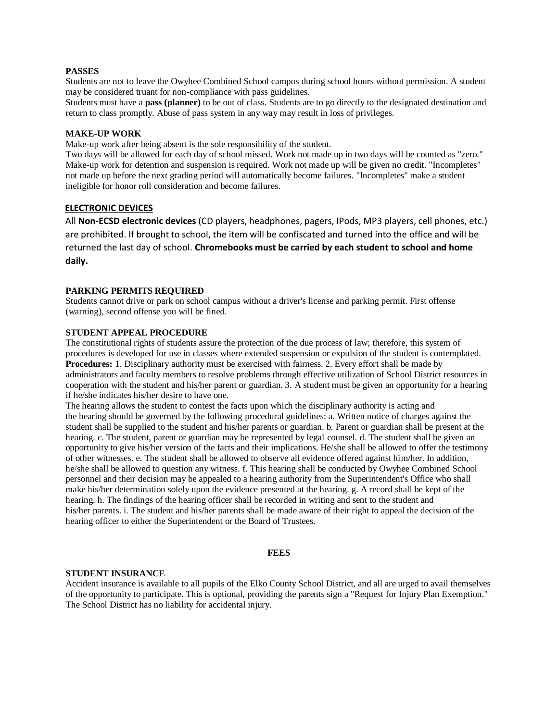#### **PASSES**

Students are not to leave the Owyhee Combined School campus during school hours without permission. A student may be considered truant for non-compliance with pass guidelines.

Students must have a **pass (planner)** to be out of class. Students are to go directly to the designated destination and return to class promptly. Abuse of pass system in any way may result in loss of privileges.

#### **MAKE-UP WORK**

Make-up work after being absent is the sole responsibility of the student.

Two days will be allowed for each day of school missed. Work not made up in two days will be counted as "zero." Make-up work for detention and suspension is required. Work not made up will be given no credit. "Incompletes" not made up before the next grading period will automatically become failures. "Incompletes" make a student ineligible for honor roll consideration and become failures.

#### **ELECTRONIC DEVICES**

All **Non-ECSD electronic devices** (CD players, headphones, pagers, IPods, MP3 players, cell phones, etc.) are prohibited. If brought to school, the item will be confiscated and turned into the office and will be returned the last day of school. **Chromebooks must be carried by each student to school and home daily.**

#### **PARKING PERMITS REQUIRED**

Students cannot drive or park on school campus without a driver's license and parking permit. First offense (warning), second offense you will be fined.

#### **STUDENT APPEAL PROCEDURE**

The constitutional rights of students assure the protection of the due process of law; therefore, this system of procedures is developed for use in classes where extended suspension or expulsion of the student is contemplated. **Procedures:** 1. Disciplinary authority must be exercised with fairness. 2. Every effort shall be made by administrators and faculty members to resolve problems through effective utilization of School District resources in cooperation with the student and his/her parent or guardian. 3. A student must be given an opportunity for a hearing if he/she indicates his/her desire to have one.

The hearing allows the student to contest the facts upon which the disciplinary authority is acting and the hearing should be governed by the following procedural guidelines: a. Written notice of charges against the student shall be supplied to the student and his/her parents or guardian. b. Parent or guardian shall be present at the hearing. c. The student, parent or guardian may be represented by legal counsel. d. The student shall be given an opportunity to give his/her version of the facts and their implications. He/she shall be allowed to offer the testimony of other witnesses. e. The student shall be allowed to observe all evidence offered against him/her. In addition, he/she shall be allowed to question any witness. f. This hearing shall be conducted by Owyhee Combined School personnel and their decision may be appealed to a hearing authority from the Superintendent's Office who shall make his/her determination solely upon the evidence presented at the hearing. g. A record shall be kept of the hearing. h. The findings of the hearing officer shall be recorded in writing and sent to the student and his/her parents. i. The student and his/her parents shall be made aware of their right to appeal the decision of the hearing officer to either the Superintendent or the Board of Trustees.

#### **FEES**

#### **STUDENT INSURANCE**

Accident insurance is available to all pupils of the Elko County School District, and all are urged to avail themselves of the opportunity to participate. This is optional, providing the parents sign a "Request for Injury Plan Exemption." The School District has no liability for accidental injury.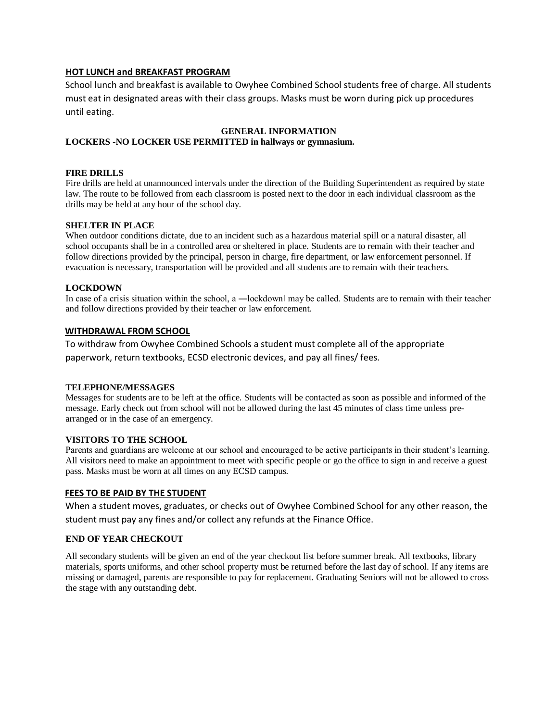# **HOT LUNCH and BREAKFAST PROGRAM**

School lunch and breakfast is available to Owyhee Combined School students free of charge. All students must eat in designated areas with their class groups. Masks must be worn during pick up procedures until eating.

# **GENERAL INFORMATION**

# **LOCKERS -NO LOCKER USE PERMITTED in hallways or gymnasium.**

# **FIRE DRILLS**

Fire drills are held at unannounced intervals under the direction of the Building Superintendent as required by state law. The route to be followed from each classroom is posted next to the door in each individual classroom as the drills may be held at any hour of the school day.

# **SHELTER IN PLACE**

When outdoor conditions dictate, due to an incident such as a hazardous material spill or a natural disaster, all school occupants shall be in a controlled area or sheltered in place. Students are to remain with their teacher and follow directions provided by the principal, person in charge, fire department, or law enforcement personnel. If evacuation is necessary, transportation will be provided and all students are to remain with their teachers.

# **LOCKDOWN**

In case of a crisis situation within the school, a —lockdown may be called. Students are to remain with their teacher and follow directions provided by their teacher or law enforcement.

# **WITHDRAWAL FROM SCHOOL**

To withdraw from Owyhee Combined Schools a student must complete all of the appropriate paperwork, return textbooks, ECSD electronic devices, and pay all fines/ fees.

# **TELEPHONE/MESSAGES**

Messages for students are to be left at the office. Students will be contacted as soon as possible and informed of the message. Early check out from school will not be allowed during the last 45 minutes of class time unless prearranged or in the case of an emergency.

# **VISITORS TO THE SCHOOL**

Parents and guardians are welcome at our school and encouraged to be active participants in their student's learning. All visitors need to make an appointment to meet with specific people or go the office to sign in and receive a guest pass. Masks must be worn at all times on any ECSD campus.

# **FEES TO BE PAID BY THE STUDENT**

When a student moves, graduates, or checks out of Owyhee Combined School for any other reason, the student must pay any fines and/or collect any refunds at the Finance Office.

# **END OF YEAR CHECKOUT**

All secondary students will be given an end of the year checkout list before summer break. All textbooks, library materials, sports uniforms, and other school property must be returned before the last day of school. If any items are missing or damaged, parents are responsible to pay for replacement. Graduating Seniors will not be allowed to cross the stage with any outstanding debt.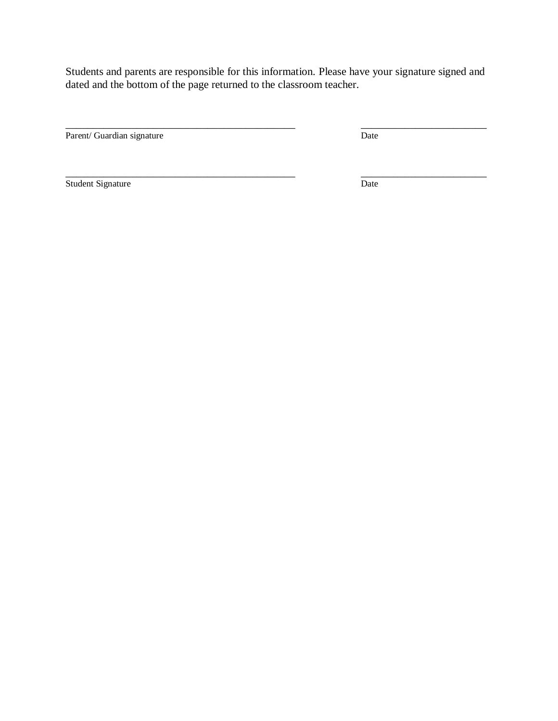Students and parents are responsible for this information. Please have your signature signed and dated and the bottom of the page returned to the classroom teacher.

\_\_\_\_\_\_\_\_\_\_\_\_\_\_\_\_\_\_\_\_\_\_\_\_\_\_\_\_\_\_\_\_\_\_\_\_\_\_\_\_\_\_ \_\_\_\_\_\_\_\_\_\_\_\_\_\_\_\_\_\_\_\_\_\_\_

\_\_\_\_\_\_\_\_\_\_\_\_\_\_\_\_\_\_\_\_\_\_\_\_\_\_\_\_\_\_\_\_\_\_\_\_\_\_\_\_\_\_ \_\_\_\_\_\_\_\_\_\_\_\_\_\_\_\_\_\_\_\_\_\_\_

Parent/ Guardian signature Date

Student Signature D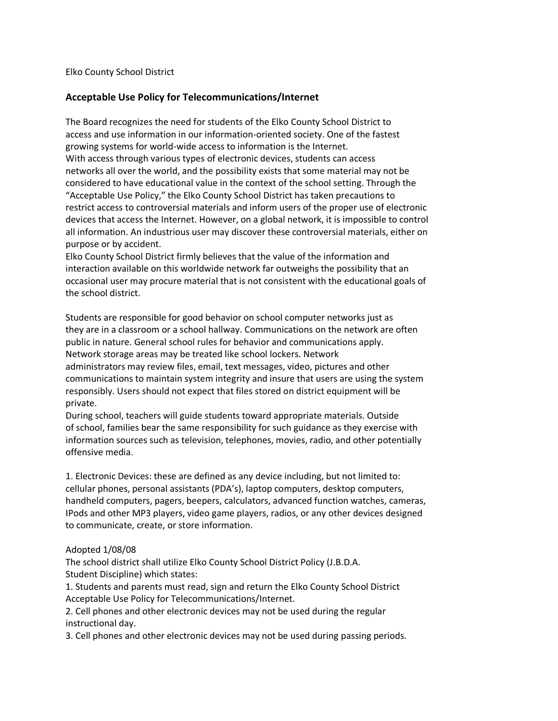Elko County School District

# **Acceptable Use Policy for Telecommunications/Internet**

The Board recognizes the need for students of the Elko County School District to access and use information in our information-oriented society. One of the fastest growing systems for world-wide access to information is the Internet. With access through various types of electronic devices, students can access networks all over the world, and the possibility exists that some material may not be considered to have educational value in the context of the school setting. Through the "Acceptable Use Policy," the Elko County School District has taken precautions to restrict access to controversial materials and inform users of the proper use of electronic devices that access the Internet. However, on a global network, it is impossible to control all information. An industrious user may discover these controversial materials, either on purpose or by accident.

Elko County School District firmly believes that the value of the information and interaction available on this worldwide network far outweighs the possibility that an occasional user may procure material that is not consistent with the educational goals of the school district.

Students are responsible for good behavior on school computer networks just as they are in a classroom or a school hallway. Communications on the network are often public in nature. General school rules for behavior and communications apply. Network storage areas may be treated like school lockers. Network administrators may review files, email, text messages, video, pictures and other communications to maintain system integrity and insure that users are using the system responsibly. Users should not expect that files stored on district equipment will be private.

During school, teachers will guide students toward appropriate materials. Outside of school, families bear the same responsibility for such guidance as they exercise with information sources such as television, telephones, movies, radio, and other potentially offensive media.

1. Electronic Devices: these are defined as any device including, but not limited to: cellular phones, personal assistants (PDA's), laptop computers, desktop computers, handheld computers, pagers, beepers, calculators, advanced function watches, cameras, IPods and other MP3 players, video game players, radios, or any other devices designed to communicate, create, or store information.

# Adopted 1/08/08

The school district shall utilize Elko County School District Policy (J.B.D.A. Student Discipline) which states:

1. Students and parents must read, sign and return the Elko County School District Acceptable Use Policy for Telecommunications/Internet.

2. Cell phones and other electronic devices may not be used during the regular instructional day.

3. Cell phones and other electronic devices may not be used during passing periods.